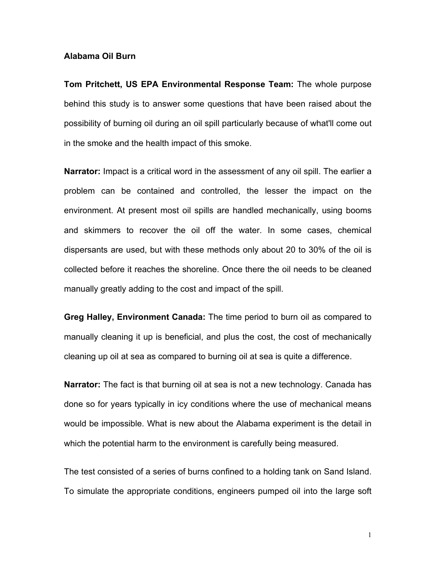## **Alabama Oil Burn**

**Tom Pritchett, US EPA Environmental Response Team:** The whole purpose behind this study is to answer some questions that have been raised about the possibility of burning oil during an oil spill particularly because of what'll come out in the smoke and the health impact of this smoke.

**Narrator:** Impact is a critical word in the assessment of any oil spill. The earlier a problem can be contained and controlled, the lesser the impact on the environment. At present most oil spills are handled mechanically, using booms and skimmers to recover the oil off the water. In some cases, chemical dispersants are used, but with these methods only about 20 to 30% of the oil is collected before it reaches the shoreline. Once there the oil needs to be cleaned manually greatly adding to the cost and impact of the spill.

**Greg Halley, Environment Canada:** The time period to burn oil as compared to manually cleaning it up is beneficial, and plus the cost, the cost of mechanically cleaning up oil at sea as compared to burning oil at sea is quite a difference.

**Narrator:** The fact is that burning oil at sea is not a new technology. Canada has done so for years typically in icy conditions where the use of mechanical means would be impossible. What is new about the Alabama experiment is the detail in which the potential harm to the environment is carefully being measured.

The test consisted of a series of burns confined to a holding tank on Sand Island. To simulate the appropriate conditions, engineers pumped oil into the large soft

1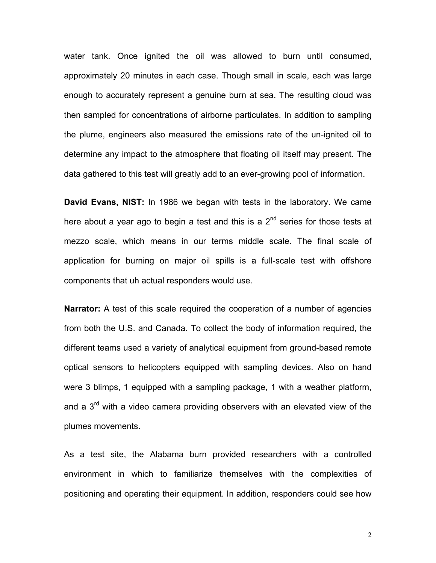water tank. Once ignited the oil was allowed to burn until consumed, approximately 20 minutes in each case. Though small in scale, each was large enough to accurately represent a genuine burn at sea. The resulting cloud was then sampled for concentrations of airborne particulates. In addition to sampling the plume, engineers also measured the emissions rate of the un-ignited oil to determine any impact to the atmosphere that floating oil itself may present. The data gathered to this test will greatly add to an ever-growing pool of information.

**David Evans, NIST:** In 1986 we began with tests in the laboratory. We came here about a year ago to begin a test and this is a  $2<sup>nd</sup>$  series for those tests at mezzo scale, which means in our terms middle scale. The final scale of application for burning on major oil spills is a full-scale test with offshore components that uh actual responders would use.

**Narrator:** A test of this scale required the cooperation of a number of agencies from both the U.S. and Canada. To collect the body of information required, the different teams used a variety of analytical equipment from ground-based remote optical sensors to helicopters equipped with sampling devices. Also on hand were 3 blimps, 1 equipped with a sampling package, 1 with a weather platform, and a  $3<sup>rd</sup>$  with a video camera providing observers with an elevated view of the plumes movements.

As a test site, the Alabama burn provided researchers with a controlled environment in which to familiarize themselves with the complexities of positioning and operating their equipment. In addition, responders could see how

2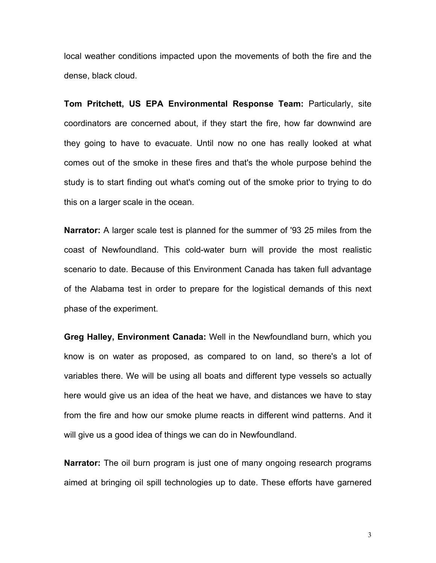local weather conditions impacted upon the movements of both the fire and the dense, black cloud.

**Tom Pritchett, US EPA Environmental Response Team:** Particularly, site coordinators are concerned about, if they start the fire, how far downwind are they going to have to evacuate. Until now no one has really looked at what comes out of the smoke in these fires and that's the whole purpose behind the study is to start finding out what's coming out of the smoke prior to trying to do this on a larger scale in the ocean.

**Narrator:** A larger scale test is planned for the summer of '93 25 miles from the coast of Newfoundland. This cold-water burn will provide the most realistic scenario to date. Because of this Environment Canada has taken full advantage of the Alabama test in order to prepare for the logistical demands of this next phase of the experiment.

**Greg Halley, Environment Canada:** Well in the Newfoundland burn, which you know is on water as proposed, as compared to on land, so there's a lot of variables there. We will be using all boats and different type vessels so actually here would give us an idea of the heat we have, and distances we have to stay from the fire and how our smoke plume reacts in different wind patterns. And it will give us a good idea of things we can do in Newfoundland.

**Narrator:** The oil burn program is just one of many ongoing research programs aimed at bringing oil spill technologies up to date. These efforts have garnered

3